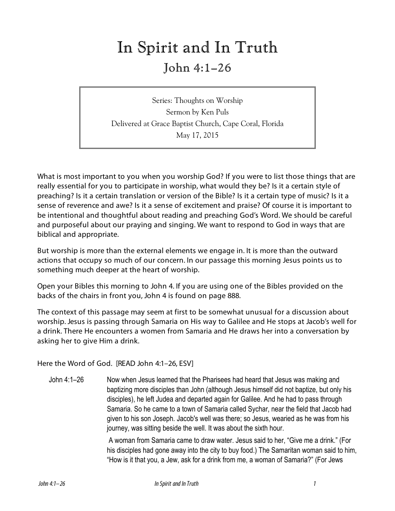# In Spirit and In Truth

## John 4:1–26

Series: Thoughts on Worship Sermon by Ken Puls Delivered at Grace Baptist Church, Cape Coral, Florida May 17, 2015

What is most important to you when you worship God? If you were to list those things that are really essential for you to participate in worship, what would they be? Is it a certain style of preaching? Is it a certain translation or version of the Bible? Is it a certain type of music? Is it a sense of reverence and awe? Is it a sense of excitement and praise? Of course it is important to be intentional and thoughtful about reading and preaching God's Word. We should be careful and purposeful about our praying and singing. We want to respond to God in ways that are biblical and appropriate.

But worship is more than the external elements we engage in. It is more than the outward actions that occupy so much of our concern. In our passage this morning Jesus points us to something much deeper at the heart of worship.

Open your Bibles this morning to John 4. If you are using one of the Bibles provided on the backs of the chairs in front you, John 4 is found on page 888.

The context of this passage may seem at first to be somewhat unusual for a discussion about worship. Jesus is passing through Samaria on His way to Galilee and He stops at Jacob's well for a drink. There He encounters a women from Samaria and He draws her into a conversation by asking her to give Him a drink.

Here the Word of God. [READ John 4:1–26, ESV]

John 4:1–26 Now when Jesus learned that the Pharisees had heard that Jesus was making and baptizing more disciples than John (although Jesus himself did not baptize, but only his disciples), he left Judea and departed again for Galilee. And he had to pass through Samaria. So he came to a town of Samaria called Sychar, near the field that Jacob had given to his son Joseph. Jacob's well was there; so Jesus, wearied as he was from his journey, was sitting beside the well. It was about the sixth hour.

> A woman from Samaria came to draw water. Jesus said to her, "Give me a drink." (For his disciples had gone away into the city to buy food.) The Samaritan woman said to him, "How is it that you, a Jew, ask for a drink from me, a woman of Samaria?" (For Jews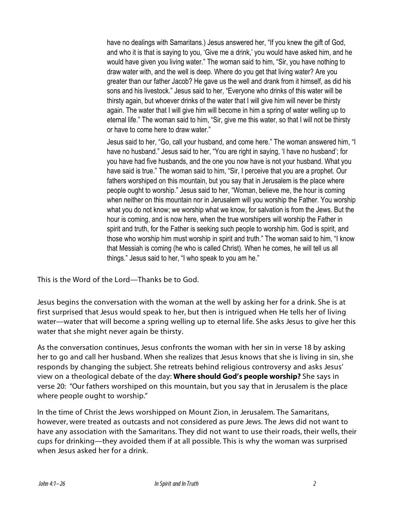have no dealings with Samaritans.) Jesus answered her, "If you knew the gift of God, and who it is that is saying to you, 'Give me a drink,' you would have asked him, and he would have given you living water." The woman said to him, "Sir, you have nothing to draw water with, and the well is deep. Where do you get that living water? Are you greater than our father Jacob? He gave us the well and drank from it himself, as did his sons and his livestock." Jesus said to her, "Everyone who drinks of this water will be thirsty again, but whoever drinks of the water that I will give him will never be thirsty again. The water that I will give him will become in him a spring of water welling up to eternal life." The woman said to him, "Sir, give me this water, so that I will not be thirsty or have to come here to draw water."

Jesus said to her, "Go, call your husband, and come here." The woman answered him, "I have no husband." Jesus said to her, "You are right in saying, 'I have no husband'; for you have had five husbands, and the one you now have is not your husband. What you have said is true." The woman said to him, "Sir, I perceive that you are a prophet. Our fathers worshiped on this mountain, but you say that in Jerusalem is the place where people ought to worship." Jesus said to her, "Woman, believe me, the hour is coming when neither on this mountain nor in Jerusalem will you worship the Father. You worship what you do not know; we worship what we know, for salvation is from the Jews. But the hour is coming, and is now here, when the true worshipers will worship the Father in spirit and truth, for the Father is seeking such people to worship him. God is spirit, and those who worship him must worship in spirit and truth." The woman said to him, "I know that Messiah is coming (he who is called Christ). When he comes, he will tell us all things." Jesus said to her, "I who speak to you am he."

This is the Word of the Lord—Thanks be to God.

Jesus begins the conversation with the woman at the well by asking her for a drink. She is at first surprised that Jesus would speak to her, but then is intrigued when He tells her of living water—water that will become a spring welling up to eternal life. She asks Jesus to give her this water that she might never again be thirsty.

As the conversation continues, Jesus confronts the woman with her sin in verse 18 by asking her to go and call her husband. When she realizes that Jesus knows that she is living in sin, she responds by changing the subject. She retreats behind religious controversy and asks Jesus' view on a theological debate of the day: **Where should God's people worship?** She says in verse 20: "Our fathers worshiped on this mountain, but you say that in Jerusalem is the place where people ought to worship."

In the time of Christ the Jews worshipped on Mount Zion, in Jerusalem. The Samaritans, however, were treated as outcasts and not considered as pure Jews. The Jews did not want to have any association with the Samaritans. They did not want to use their roads, their wells, their cups for drinking—they avoided them if at all possible. This is why the woman was surprised when Jesus asked her for a drink.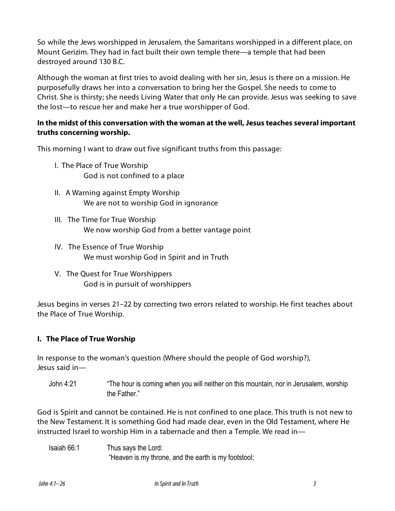So while the Jews worshipped in Jerusalem, the Samaritans worshipped in a different place, on Mount Gerizim. They had in fact built their own temple there—a temple that had been destroyed around 130 B.C.

Although the woman at first tries to avoid dealing with her sin, Jesus is there on a mission. He purposefully draws her into a conversation to bring her the Gospel. She needs to come to Christ. She is thirsty; she needs Living Water that only He can provide. Jesus was seeking to save the lost—to rescue her and make her a true worshipper of God.

#### **In the midst of this conversation with the woman at the well, Jesus teaches several important truths concerning worship.**

This morning I want to draw out five significant truths from this passage:

- I. The Place of True Worship God is not confined to a place
- II. A Warning against Empty Worship We are not to worship God in ignorance
- III. The Time for True Worship We now worship God from a better vantage point
- IV. The Essence of True Worship We must worship God in Spirit and in Truth
- V. The Quest for True Worshippers God is in pursuit of worshippers

Jesus begins in verses 21–22 by correcting two errors related to worship. He first teaches about the Place of True Worship.

#### **I. The Place of True Worship**

In response to the woman's question (Where should the people of God worship?), Jesus said in—

John 4:21 "The hour is coming when you will neither on this mountain, nor in Jerusalem, worship the Father."

God is Spirit and cannot be contained. He is not confined to one place. This truth is not new to the New Testament. It is something God had made clear, even in the Old Testament, where He instructed Israel to worship Him in a tabernacle and then a Temple. We read in—

Isaiah 66:1 Thus says the Lord: "Heaven is my throne, and the earth is my footstool;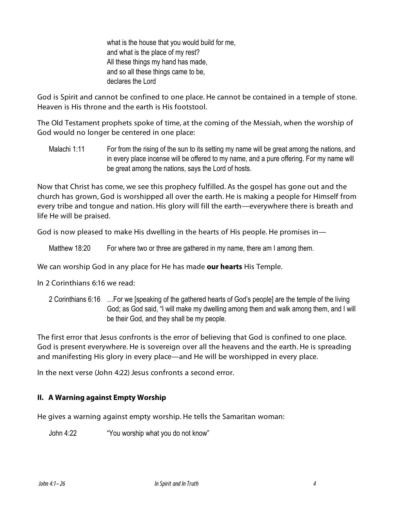what is the house that you would build for me, and what is the place of my rest? All these things my hand has made, and so all these things came to be, declares the Lord

God is Spirit and cannot be confined to one place. He cannot be contained in a temple of stone. Heaven is His throne and the earth is His footstool.

The Old Testament prophets spoke of time, at the coming of the Messiah, when the worship of God would no longer be centered in one place:

Malachi 1:11 For from the rising of the sun to its setting my name will be great among the nations, and in every place incense will be offered to my name, and a pure offering. For my name will be great among the nations, says the Lord of hosts.

Now that Christ has come, we see this prophecy fulfilled. As the gospel has gone out and the church has grown, God is worshipped all over the earth. He is making a people for Himself from every tribe and tongue and nation. His glory will fill the earth—everywhere there is breath and life He will be praised.

God is now pleased to make His dwelling in the hearts of His people. He promises in—

Matthew 18:20 For where two or three are gathered in my name, there am I among them.

We can worship God in any place for He has made **our hearts** His Temple.

In 2 Corinthians 6:16 we read:

2 Corinthians 6:16 …For we [speaking of the gathered hearts of God's people] are the temple of the living God; as God said, "I will make my dwelling among them and walk among them, and I will be their God, and they shall be my people.

The first error that Jesus confronts is the error of believing that God is confined to one place. God is present everywhere. He is sovereign over all the heavens and the earth. He is spreading and manifesting His glory in every place—and He will be worshipped in every place.

In the next verse (John 4:22) Jesus confronts a second error.

#### **II. A Warning against Empty Worship**

He gives a warning against empty worship. He tells the Samaritan woman:

John 4:22 "You worship what you do not know"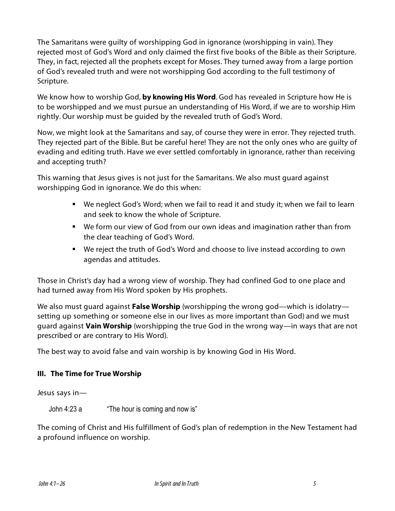The Samaritans were guilty of worshipping God in ignorance (worshipping in vain). They rejected most of God's Word and only claimed the first five books of the Bible as their Scripture. They, in fact, rejected all the prophets except for Moses. They turned away from a large portion of God's revealed truth and were not worshipping God according to the full testimony of Scripture.

We know how to worship God, **by knowing His Word**. God has revealed in Scripture how He is to be worshipped and we must pursue an understanding of His Word, if we are to worship Him rightly. Our worship must be guided by the revealed truth of God's Word.

Now, we might look at the Samaritans and say, of course they were in error. They rejected truth. They rejected part of the Bible. But be careful here! They are not the only ones who are guilty of evading and editing truth. Have we ever settled comfortably in ignorance, rather than receiving and accepting truth?

This warning that Jesus gives is not just for the Samaritans. We also must guard against worshipping God in ignorance. We do this when:

- ! We neglect God's Word; when we fail to read it and study it; when we fail to learn and seek to know the whole of Scripture.
- ! We form our view of God from our own ideas and imagination rather than from the clear teaching of God's Word.
- ! We reject the truth of God's Word and choose to live instead according to own agendas and attitudes.

Those in Christ's day had a wrong view of worship. They had confined God to one place and had turned away from His Word spoken by His prophets.

We also must guard against **False Worship** (worshipping the wrong god—which is idolatry setting up something or someone else in our lives as more important than God) and we must guard against **Vain Worship** (worshipping the true God in the wrong way—in ways that are not prescribed or are contrary to His Word).

The best way to avoid false and vain worship is by knowing God in His Word.

### **III. The Time for True Worship**

Jesus says in—

John 4:23 a "The hour is coming and now is"

The coming of Christ and His fulfillment of God's plan of redemption in the New Testament had a profound influence on worship.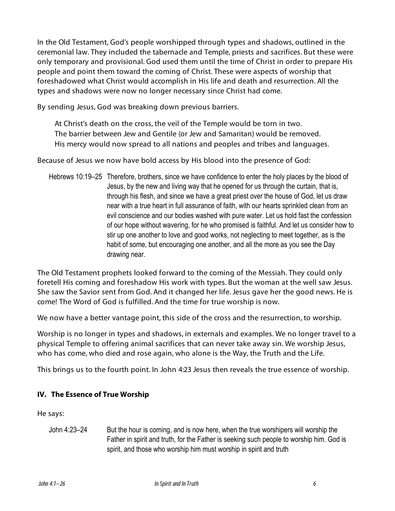In the Old Testament, God's people worshipped through types and shadows, outlined in the ceremonial law. They included the tabernacle and Temple, priests and sacrifices. But these were only temporary and provisional. God used them until the time of Christ in order to prepare His people and point them toward the coming of Christ. These were aspects of worship that foreshadowed what Christ would accomplish in His life and death and resurrection. All the types and shadows were now no longer necessary since Christ had come.

By sending Jesus, God was breaking down previous barriers.

At Christ's death on the cross, the veil of the Temple would be torn in two. The barrier between Jew and Gentile (or Jew and Samaritan) would be removed. His mercy would now spread to all nations and peoples and tribes and languages.

Because of Jesus we now have bold access by His blood into the presence of God:

Hebrews 10:19–25 Therefore, brothers, since we have confidence to enter the holy places by the blood of Jesus, by the new and living way that he opened for us through the curtain, that is, through his flesh, and since we have a great priest over the house of God, let us draw near with a true heart in full assurance of faith, with our hearts sprinkled clean from an evil conscience and our bodies washed with pure water. Let us hold fast the confession of our hope without wavering, for he who promised is faithful. And let us consider how to stir up one another to love and good works, not neglecting to meet together, as is the habit of some, but encouraging one another, and all the more as you see the Day drawing near.

The Old Testament prophets looked forward to the coming of the Messiah. They could only foretell His coming and foreshadow His work with types. But the woman at the well saw Jesus. She saw the Savior sent from God. And it changed her life. Jesus gave her the good news. He is come! The Word of God is fulfilled. And the time for true worship is now.

We now have a better vantage point, this side of the cross and the resurrection, to worship.

Worship is no longer in types and shadows, in externals and examples. We no longer travel to a physical Temple to offering animal sacrifices that can never take away sin. We worship Jesus, who has come, who died and rose again, who alone is the Way, the Truth and the Life.

This brings us to the fourth point. In John 4:23 Jesus then reveals the true essence of worship.

#### **IV. The Essence of True Worship**

He says:

John 4:23–24 But the hour is coming, and is now here, when the true worshipers will worship the Father in spirit and truth, for the Father is seeking such people to worship him. God is spirit, and those who worship him must worship in spirit and truth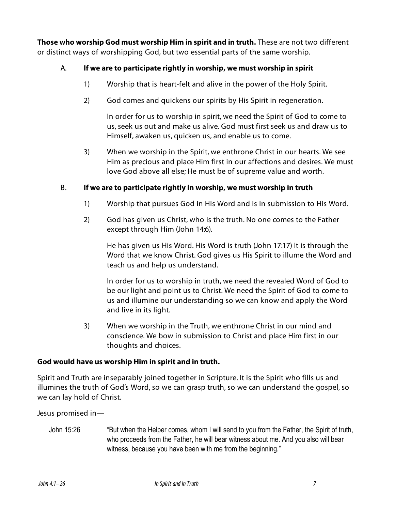**Those who worship God must worship Him in spirit and in truth.** These are not two different or distinct ways of worshipping God, but two essential parts of the same worship.

#### A. **If we are to participate rightly in worship, we must worship in spirit**

- 1) Worship that is heart-felt and alive in the power of the Holy Spirit.
- 2) God comes and quickens our spirits by His Spirit in regeneration.

In order for us to worship in spirit, we need the Spirit of God to come to us, seek us out and make us alive. God must first seek us and draw us to Himself, awaken us, quicken us, and enable us to come.

3) When we worship in the Spirit, we enthrone Christ in our hearts. We see Him as precious and place Him first in our affections and desires. We must love God above all else; He must be of supreme value and worth.

#### B. **If we are to participate rightly in worship, we must worship in truth**

- 1) Worship that pursues God in His Word and is in submission to His Word.
- 2) God has given us Christ, who is the truth. No one comes to the Father except through Him (John 14:6).

He has given us His Word. His Word is truth (John 17:17) It is through the Word that we know Christ. God gives us His Spirit to illume the Word and teach us and help us understand.

In order for us to worship in truth, we need the revealed Word of God to be our light and point us to Christ. We need the Spirit of God to come to us and illumine our understanding so we can know and apply the Word and live in its light.

3) When we worship in the Truth, we enthrone Christ in our mind and conscience. We bow in submission to Christ and place Him first in our thoughts and choices.

#### **God would have us worship Him in spirit and in truth.**

Spirit and Truth are inseparably joined together in Scripture. It is the Spirit who fills us and illumines the truth of God's Word, so we can grasp truth, so we can understand the gospel, so we can lay hold of Christ.

Jesus promised in—

John 15:26 "But when the Helper comes, whom I will send to you from the Father, the Spirit of truth, who proceeds from the Father, he will bear witness about me. And you also will bear witness, because you have been with me from the beginning."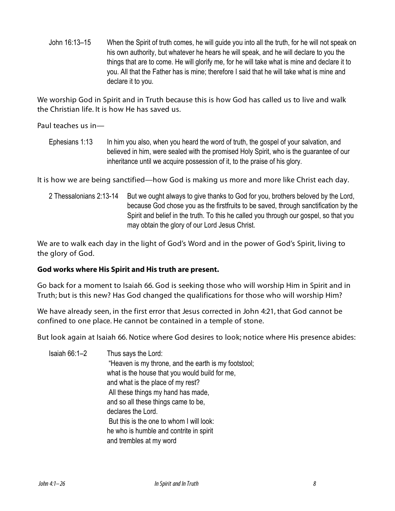John 16:13–15 When the Spirit of truth comes, he will guide you into all the truth, for he will not speak on his own authority, but whatever he hears he will speak, and he will declare to you the things that are to come. He will glorify me, for he will take what is mine and declare it to you. All that the Father has is mine; therefore I said that he will take what is mine and declare it to you.

We worship God in Spirit and in Truth because this is how God has called us to live and walk the Christian life. It is how He has saved us.

Paul teaches us in—

Ephesians 1:13 In him you also, when you heard the word of truth, the gospel of your salvation, and believed in him, were sealed with the promised Holy Spirit, who is the guarantee of our inheritance until we acquire possession of it, to the praise of his glory.

It is how we are being sanctified—how God is making us more and more like Christ each day.

2 Thessalonians 2:13-14 But we ought always to give thanks to God for you, brothers beloved by the Lord, because God chose you as the firstfruits to be saved, through sanctification by the Spirit and belief in the truth. To this he called you through our gospel, so that you may obtain the glory of our Lord Jesus Christ.

We are to walk each day in the light of God's Word and in the power of God's Spirit, living to the glory of God.

#### **God works where His Spirit and His truth are present.**

Go back for a moment to Isaiah 66. God is seeking those who will worship Him in Spirit and in Truth; but is this new? Has God changed the qualifications for those who will worship Him?

We have already seen, in the first error that Jesus corrected in John 4:21, that God cannot be confined to one place. He cannot be contained in a temple of stone.

But look again at Isaiah 66. Notice where God desires to look; notice where His presence abides:

Isaiah 66:1–2 Thus says the Lord: "Heaven is my throne, and the earth is my footstool; what is the house that you would build for me, and what is the place of my rest? All these things my hand has made, and so all these things came to be, declares the Lord. But this is the one to whom I will look: he who is humble and contrite in spirit and trembles at my word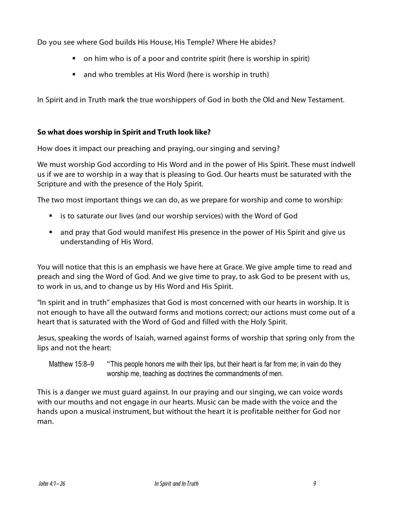Do you see where God builds His House, His Temple? Where He abides?

- ! on him who is of a poor and contrite spirit (here is worship in spirit)
- **n** and who trembles at His Word (here is worship in truth)

In Spirit and in Truth mark the true worshippers of God in both the Old and New Testament.

#### **So what does worship in Spirit and Truth look like?**

How does it impact our preaching and praying, our singing and serving?

We must worship God according to His Word and in the power of His Spirit. These must indwell us if we are to worship in a way that is pleasing to God. Our hearts must be saturated with the Scripture and with the presence of the Holy Spirit.

The two most important things we can do, as we prepare for worship and come to worship:

- ! is to saturate our lives (and our worship services) with the Word of God
- ! and pray that God would manifest His presence in the power of His Spirit and give us understanding of His Word.

You will notice that this is an emphasis we have here at Grace. We give ample time to read and preach and sing the Word of God. And we give time to pray, to ask God to be present with us, to work in us, and to change us by His Word and His Spirit.

"In spirit and in truth" emphasizes that God is most concerned with our hearts in worship. It is not enough to have all the outward forms and motions correct; our actions must come out of a heart that is saturated with the Word of God and filled with the Holy Spirit.

Jesus, speaking the words of Isaiah, warned against forms of worship that spring only from the lips and not the heart:

Matthew 15:8–9 "This people honors me with their lips, but their heart is far from me; in vain do they worship me, teaching as doctrines the commandments of men.

This is a danger we must guard against. In our praying and our singing, we can voice words with our mouths and not engage in our hearts. Music can be made with the voice and the hands upon a musical instrument, but without the heart it is profitable neither for God nor man.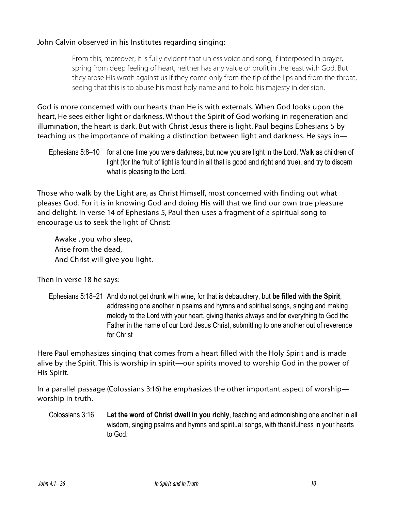#### John Calvin observed in his Institutes regarding singing:

From this, moreover, it is fully evident that unless voice and song, if interposed in prayer, spring from deep feeling of heart, neither has any value or profit in the least with God. But they arose His wrath against us if they come only from the tip of the lips and from the throat, seeing that this is to abuse his most holy name and to hold his majesty in derision.

God is more concerned with our hearts than He is with externals. When God looks upon the heart, He sees either light or darkness. Without the Spirit of God working in regeneration and illumination, the heart is dark. But with Christ Jesus there is light. Paul begins Ephesians 5 by teaching us the importance of making a distinction between light and darkness. He says in—

Ephesians 5:8–10 for at one time you were darkness, but now you are light in the Lord. Walk as children of light (for the fruit of light is found in all that is good and right and true), and try to discern what is pleasing to the Lord.

Those who walk by the Light are, as Christ Himself, most concerned with finding out what pleases God. For it is in knowing God and doing His will that we find our own true pleasure and delight. In verse 14 of Ephesians 5, Paul then uses a fragment of a spiritual song to encourage us to seek the light of Christ:

Awake , you who sleep, Arise from the dead, And Christ will give you light.

Then in verse 18 he says:

Ephesians 5:18–21 And do not get drunk with wine, for that is debauchery, but **be filled with the Spirit**, addressing one another in psalms and hymns and spiritual songs, singing and making melody to the Lord with your heart, giving thanks always and for everything to God the Father in the name of our Lord Jesus Christ, submitting to one another out of reverence for Christ

Here Paul emphasizes singing that comes from a heart filled with the Holy Spirit and is made alive by the Spirit. This is worship in spirit—our spirits moved to worship God in the power of His Spirit.

In a parallel passage (Colossians 3:16) he emphasizes the other important aspect of worship worship in truth.

Colossians 3:16 **Let the word of Christ dwell in you richly**, teaching and admonishing one another in all wisdom, singing psalms and hymns and spiritual songs, with thankfulness in your hearts to God.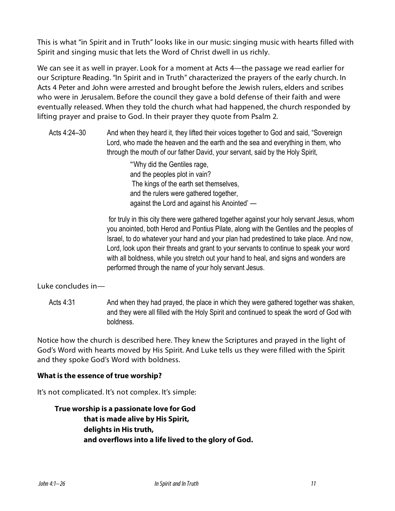This is what "in Spirit and in Truth" looks like in our music: singing music with hearts filled with Spirit and singing music that lets the Word of Christ dwell in us richly.

We can see it as well in prayer. Look for a moment at Acts 4—the passage we read earlier for our Scripture Reading. "In Spirit and in Truth" characterized the prayers of the early church. In Acts 4 Peter and John were arrested and brought before the Jewish rulers, elders and scribes who were in Jerusalem. Before the council they gave a bold defense of their faith and were eventually released. When they told the church what had happened, the church responded by lifting prayer and praise to God. In their prayer they quote from Psalm 2.

Acts 4:24–30 And when they heard it, they lifted their voices together to God and said, "Sovereign Lord, who made the heaven and the earth and the sea and everything in them, who through the mouth of our father David, your servant, said by the Holy Spirit,

> "'Why did the Gentiles rage, and the peoples plot in vain? The kings of the earth set themselves, and the rulers were gathered together, against the Lord and against his Anointed' —

 for truly in this city there were gathered together against your holy servant Jesus, whom you anointed, both Herod and Pontius Pilate, along with the Gentiles and the peoples of Israel, to do whatever your hand and your plan had predestined to take place. And now, Lord, look upon their threats and grant to your servants to continue to speak your word with all boldness, while you stretch out your hand to heal, and signs and wonders are performed through the name of your holy servant Jesus.

Luke concludes in—

Acts 4:31 And when they had prayed, the place in which they were gathered together was shaken, and they were all filled with the Holy Spirit and continued to speak the word of God with boldness.

Notice how the church is described here. They knew the Scriptures and prayed in the light of God's Word with hearts moved by His Spirit. And Luke tells us they were filled with the Spirit and they spoke God's Word with boldness.

#### **What is the essence of true worship?**

It's not complicated. It's not complex. It's simple:

**True worship is a passionate love for God that is made alive by His Spirit, delights in His truth, and overflows into a life lived to the glory of God.**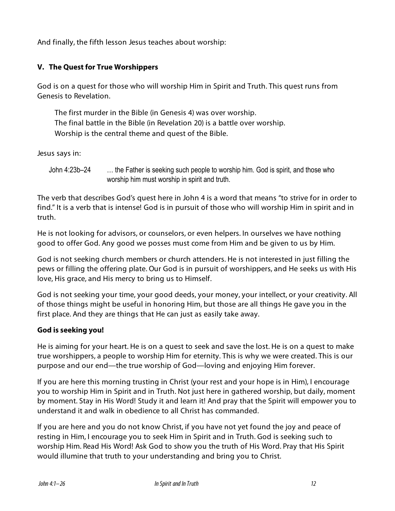And finally, the fifth lesson Jesus teaches about worship:

#### **V. The Quest for True Worshippers**

God is on a quest for those who will worship Him in Spirit and Truth. This quest runs from Genesis to Revelation.

The first murder in the Bible (in Genesis 4) was over worship. The final battle in the Bible (in Revelation 20) is a battle over worship. Worship is the central theme and quest of the Bible.

Jesus says in:

John 4:23b–24 … the Father is seeking such people to worship him. God is spirit, and those who worship him must worship in spirit and truth.

The verb that describes God's quest here in John 4 is a word that means "to strive for in order to find." It is a verb that is intense! God is in pursuit of those who will worship Him in spirit and in truth.

He is not looking for advisors, or counselors, or even helpers. In ourselves we have nothing good to offer God. Any good we posses must come from Him and be given to us by Him.

God is not seeking church members or church attenders. He is not interested in just filling the pews or filling the offering plate. Our God is in pursuit of worshippers, and He seeks us with His love, His grace, and His mercy to bring us to Himself.

God is not seeking your time, your good deeds, your money, your intellect, or your creativity. All of those things might be useful in honoring Him, but those are all things He gave you in the first place. And they are things that He can just as easily take away.

#### **God is seeking you!**

He is aiming for your heart. He is on a quest to seek and save the lost. He is on a quest to make true worshippers, a people to worship Him for eternity. This is why we were created. This is our purpose and our end—the true worship of God—loving and enjoying Him forever.

If you are here this morning trusting in Christ (your rest and your hope is in Him), I encourage you to worship Him in Spirit and in Truth. Not just here in gathered worship, but daily, moment by moment. Stay in His Word! Study it and learn it! And pray that the Spirit will empower you to understand it and walk in obedience to all Christ has commanded.

If you are here and you do not know Christ, if you have not yet found the joy and peace of resting in Him, I encourage you to seek Him in Spirit and in Truth. God is seeking such to worship Him. Read His Word! Ask God to show you the truth of His Word. Pray that His Spirit would illumine that truth to your understanding and bring you to Christ.